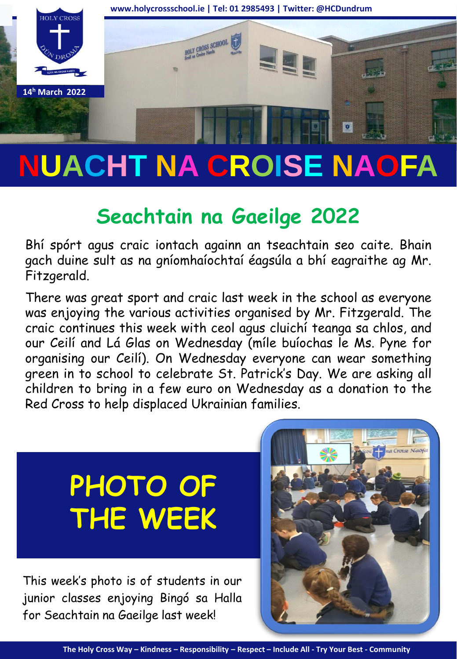

# **NUACHT NA CROISE NAOFA**

# **Seachtain na Gaeilge 2022**

Bhí spórt agus craic iontach againn an tseachtain seo caite. Bhain gach duine sult as na gníomhaíochtaí éagsúla a bhí eagraithe ag Mr. Fitzgerald.

There was great sport and craic last week in the school as everyone was enjoying the various activities organised by Mr. Fitzgerald. The craic continues this week with ceol agus cluichí teanga sa chlos, and our Ceilí and Lá Glas on Wednesday (míle buíochas le Ms. Pyne for organising our Ceilí). On Wednesday everyone can wear something green in to school to celebrate St. Patrick's Day. We are asking all children to bring in a few euro on Wednesday as a donation to the Red Cross to help displaced Ukrainian families.

# **PHOTO OF THE WEEK**

This week's photo is of students in our junior classes enjoying Bingó sa Halla for Seachtain na Gaeilge last week!

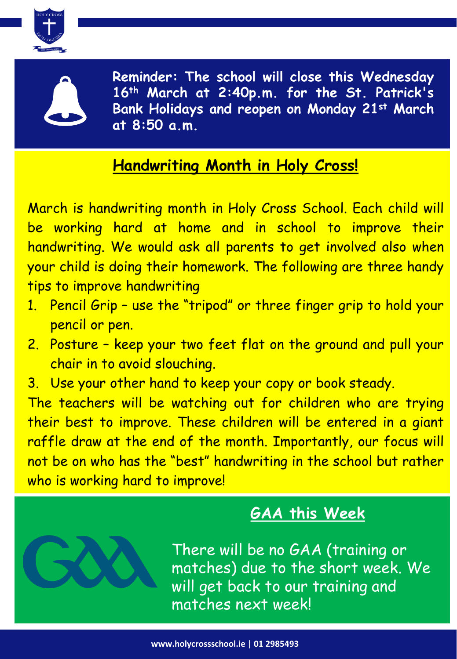



**Reminder: The school will close this Wednesday 16th March at 2:40p.m. for the St. Patrick's Bank Holidays and reopen on Monday 21st March at 8:50 a.m.**

## **Handwriting Month in Holy Cross!**

March is handwriting month in Holy Cross School. Each child will be working hard at home and in school to improve their handwriting. We would ask all parents to get involved also when your child is doing their homework. The following are three handy tips to improve handwriting

- 1. Pencil Grip use the "tripod" or three finger grip to hold your pencil or pen.
- 2. Posture keep your two feet flat on the ground and pull your chair in to avoid slouching.
- 3. Use your other hand to keep your copy or book steady.

The teachers will be watching out for children who are trying their best to improve. These children will be entered in a giant raffle draw at the end of the month. Importantly, our focus will not be on who has the "best" handwriting in the school but rather who is working hard to improve!

# **GAA this Week**

There will be no GAA (training or matches) due to the short week. We will get back to our training and matches next week!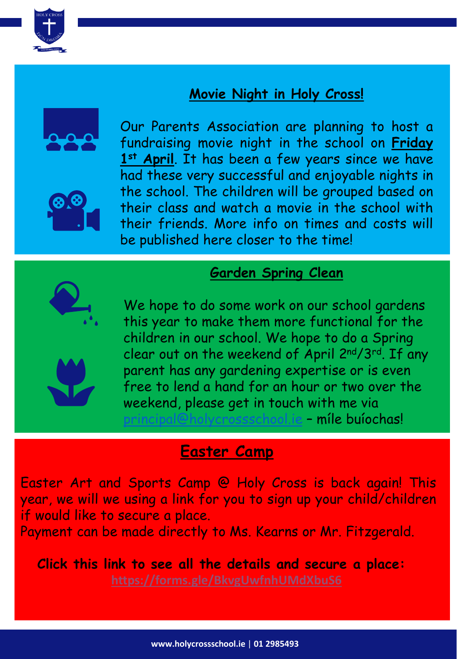

#### **Movie Night in Holy Cross!**





Our Parents Association are planning to host a fundraising movie night in the school on **Friday 1st April**. It has been a few years since we have had these very successful and enjoyable nights in the school. The children will be grouped based on their class and watch a movie in the school with their friends. More info on times and costs will be published here closer to the time!

#### **Garden Spring Clean**



We hope to do some work on our school gardens this year to make them more functional for the children in our school. We hope to do a Spring clear out on the weekend of April 2nd/3rd. If any parent has any gardening expertise or is even free to lend a hand for an hour or two over the weekend, please get in touch with me via rincipal@holycrossschool.je - míle buíochas!

#### **Easter Camp**

Easter Art and Sports Camp @ Holy Cross is back again! This year, we will we using a link for you to sign up your child/children if would like to secure a place.

Payment can be made directly to Ms. Kearns or Mr. Fitzgerald.

**Click this link to see all the details and secure a place:**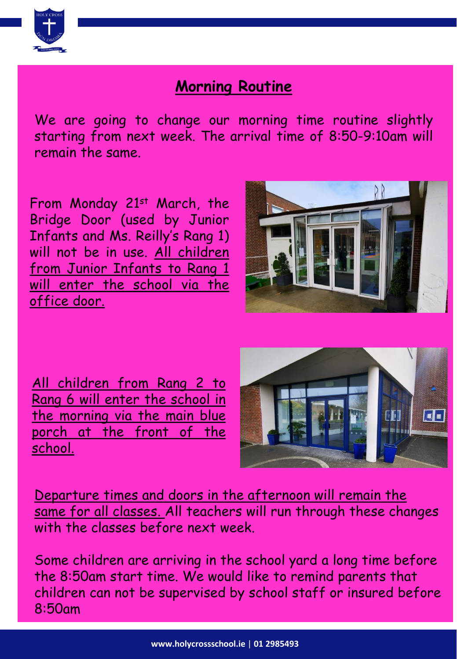

### **Morning Routine**

We are going to change our morning time routine slightly starting from next week. The arrival time of 8:50-9:10am will remain the same.

From Monday 21st March, the Bridge Door (used by Junior Infants and Ms. Reilly's Rang 1) will not be in use. All children from Junior Infants to Rang 1 will enter the school via the office door.



All children from Rang 2 to Rang 6 will enter the school in the morning via the main blue porch at the front of the school.



Departure times and doors in the afternoon will remain the same for all classes. All teachers will run through these changes with the classes before next week.

Some children are arriving in the school yard a long time before the 8:50am start time. We would like to remind parents that children can not be supervised by school staff or insured before 8:50am